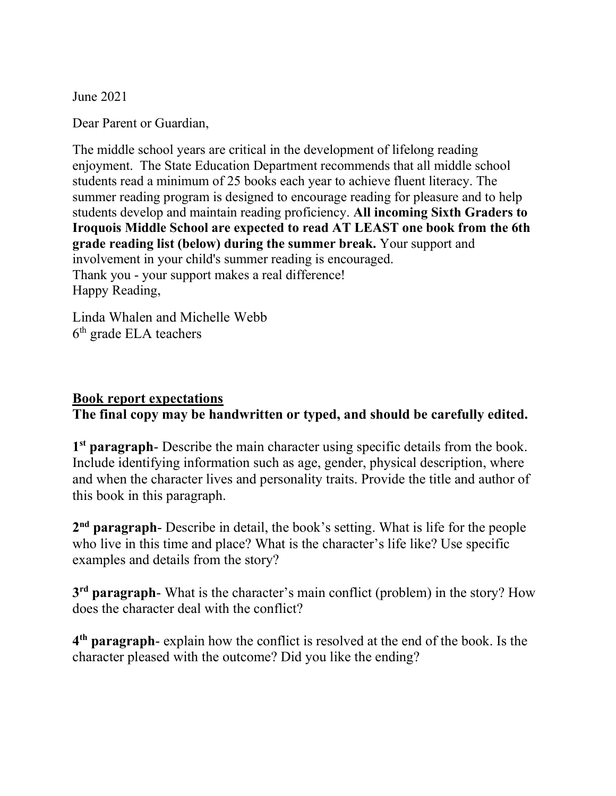June 2021

Dear Parent or Guardian,

The middle school years are critical in the development of lifelong reading enjoyment. The State Education Department recommends that all middle school students read a minimum of 25 books each year to achieve fluent literacy. The summer reading program is designed to encourage reading for pleasure and to help students develop and maintain reading proficiency. All incoming Sixth Graders to Iroquois Middle School are expected to read AT LEAST one book from the 6th grade reading list (below) during the summer break. Your support and involvement in your child's summer reading is encouraged. Thank you - your support makes a real difference! Happy Reading,

Linda Whalen and Michelle Webb 6<sup>th</sup> grade ELA teachers

## Book report expectations

The final copy may be handwritten or typed, and should be carefully edited.

1<sup>st</sup> paragraph- Describe the main character using specific details from the book. Include identifying information such as age, gender, physical description, where and when the character lives and personality traits. Provide the title and author of this book in this paragraph.

2<sup>nd</sup> paragraph- Describe in detail, the book's setting. What is life for the people who live in this time and place? What is the character's life like? Use specific examples and details from the story?

3<sup>rd</sup> paragraph- What is the character's main conflict (problem) in the story? How does the character deal with the conflict?

4<sup>th</sup> paragraph- explain how the conflict is resolved at the end of the book. Is the character pleased with the outcome? Did you like the ending?